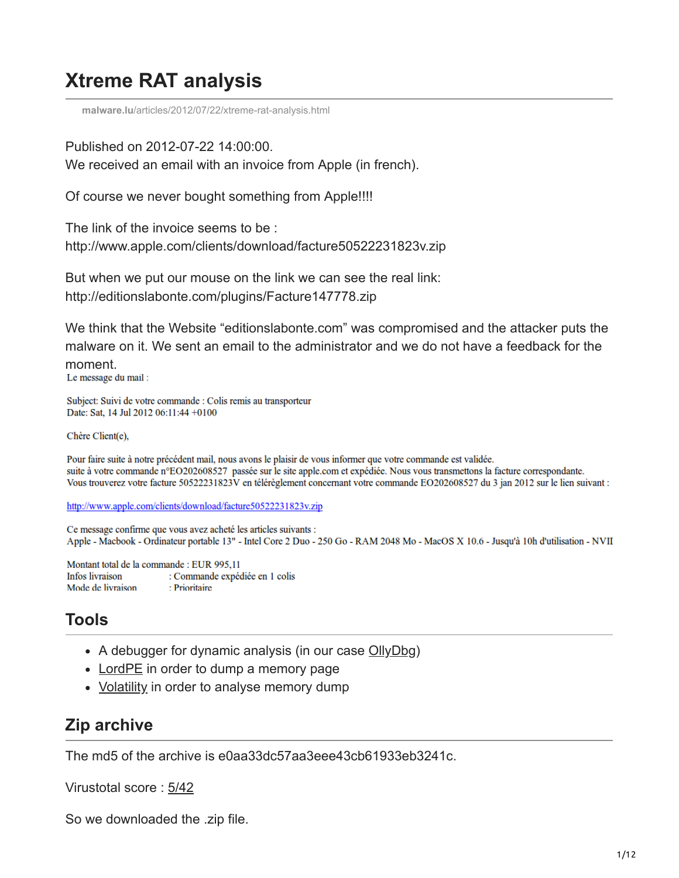# **Xtreme RAT analysis**

**malware.lu**[/articles/2012/07/22/xtreme-rat-analysis.html](https://malware.lu/articles/2012/07/22/xtreme-rat-analysis.html)

Published on 2012-07-22 14:00:00.

We received an email with an invoice from Apple (in french).

Of course we never bought something from Apple!!!!

The link of the invoice seems to be : http://www.apple.com/clients/download/facture50522231823v.zip

But when we put our mouse on the link we can see the real link: http://editionslabonte.com/plugins/Facture147778.zip

We think that the Website "editionslabonte.com" was compromised and the attacker puts the malware on it. We sent an email to the administrator and we do not have a feedback for the moment.<br>Le message du mail :

Subject: Suivi de votre commande : Colis remis au transporteur Date: Sat, 14 Jul 2012 06:11:44 +0100

Chère Client(e).

Pour faire suite à notre précédent mail, nous avons le plaisir de vous informer que votre commande est validée. suite à votre commande n°EO202608527 passée sur le site apple.com et expédiée. Nous vous transmettons la facture correspondante. Vous trouverez votre facture 50522231823V en télérèglement concernant votre commande EO202608527 du 3 jan 2012 sur le lien suivant :

http://www.apple.com/clients/download/facture50522231823v.zip

Ce message confirme que vous avez acheté les articles suivants : Apple - Macbook - Ordinateur portable 13" - Intel Core 2 Duo - 250 Go - RAM 2048 Mo - MacOS X 10.6 - Jusqu'à 10h d'utilisation - NVII

Montant total de la commande : EUR 995,11 Infos livraison : Commande expédiée en 1 colis Mode de livraison : Prioritaire

# **Tools**

- A debugger for dynamic analysis (in our case [OllyDbg](http://www.ollydbg.de/))
- [LordPE](http://www.woodmann.com/collaborative/tools/index.php/LordPE) in order to dump a memory page
- [Volatility](https://www.volatilesystems.com/default/volatility.html) in order to analyse memory dump

# **Zip archive**

The md5 of the archive is e0aa33dc57aa3eee43cb61933eb3241c.

Virustotal score : [5/42](https://www.virustotal.com/file/d897f2b82615af1173a97ba21f90a6be1d19d13643afecc29bcd0d7999e3d6ea/analysis/1342816045/)

So we downloaded the .zip file.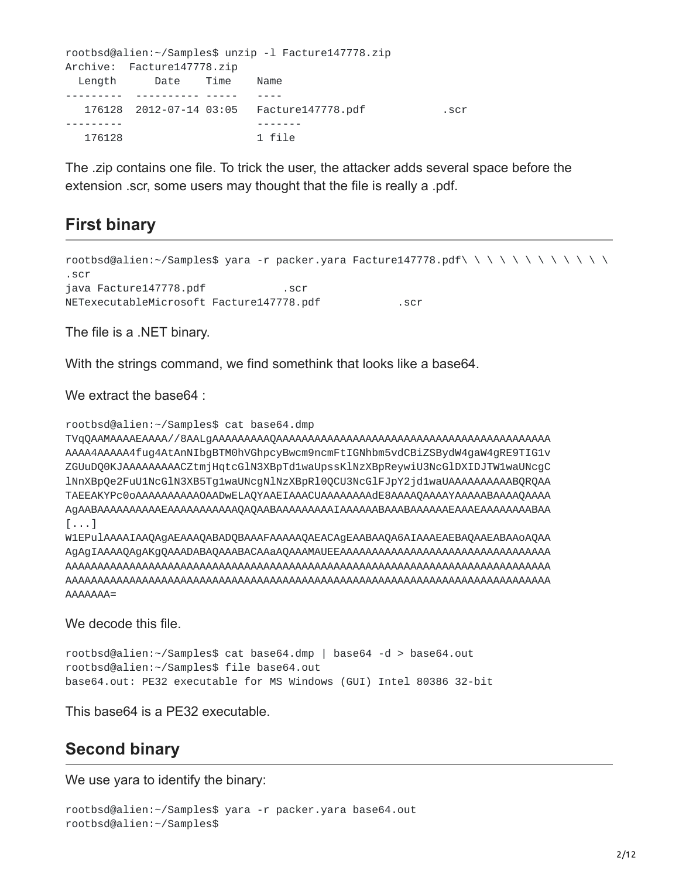```
rootbsd@alien:~/Samples$ unzip -l Facture147778.zip
Archive: Facture147778.zip
 Length Date Time Name
--------- ---------- ----- ----
  176128 2012-07-14 03:05 Facture147778.pdf .scr
--------- -------
  176128 1 file
```
The .zip contains one file. To trick the user, the attacker adds several space before the extension .scr, some users may thought that the file is really a .pdf.

## **First binary**

```
<code>rootbsd@alien:~/Samples$</code> yara -r packer.yara Facture147778.pdf\ \ \ \ \ \ \ \ \ \ \ \ \ \ \
.scr
java Facture147778.pdf .scr
NETexecutableMicrosoft Facture147778.pdf .scr
```
The file is a .NET binary.

With the strings command, we find somethink that looks like a base64.

We extract the base 64 :

```
rootbsd@alien:~/Samples$ cat base64.dmp
```
TVqQAAMAAAAEAAAA//8AALgAAAAAAAAAQAAAAAAAAAAAAAAAAAAAAAAAAAAAAAAAAAAAAAAAAAAA AAAA4AAAAA4fug4AtAnNIbgBTM0hVGhpcyBwcm9ncmFtIGNhbm5vdCBiZSBydW4gaW4gRE9TIG1v ZGUuDQ0KJAAAAAAAAACZtmjHqtcGlN3XBpTd1waUpssKlNzXBpReywiU3NcGlDXIDJTW1waUNcgC lNnXBpQe2FuU1NcGlN3XB5Tg1waUNcgNlNzXBpRl0QCU3NcGlFJpY2jd1waUAAAAAAAAAABQRQAA TAEEAKYPc0oAAAAAAAAAAOAADwELAQYAAEIAAACUAAAAAAAAdE8AAAAQAAAAYAAAAABAAAAQAAAA AgAABAAAAAAAAAAEAAAAAAAAAAAQAQAABAAAAAAAAAIAAAAAABAAABAAAAAAEAAAEAAAAAAAABAA [...]

W1EPulAAAAIAAQAgAEAAAQABADQBAAAFAAAAAQAEACAgEAABAAQA6AIAAAEAEBAQAAEABAAoAQAA AgAgIAAAAQAgAKgQAAADABAQAAABACAAaAQAAAMAUEEAAAAAAAAAAAAAAAAAAAAAAAAAAAAAAAAA AAAAAAAAAAAAAAAAAAAAAAAAAAAAAAAAAAAAAAAAAAAAAAAAAAAAAAAAAAAAAAAAAAAAAAAAAAAA AAAAAAAAAAAAAAAAAAAAAAAAAAAAAAAAAAAAAAAAAAAAAAAAAAAAAAAAAAAAAAAAAAAAAAAAAAAA AAAAAAA=

We decode this file.

```
rootbsd@alien:~/Samples$ cat base64.dmp | base64 -d > base64.out
rootbsd@alien:~/Samples$ file base64.out
base64.out: PE32 executable for MS Windows (GUI) Intel 80386 32-bit
```
This base64 is a PE32 executable.

## **Second binary**

We use yara to identify the binary:

```
rootbsd@alien:~/Samples$ yara -r packer.yara base64.out
rootbsd@alien:~/Samples$
```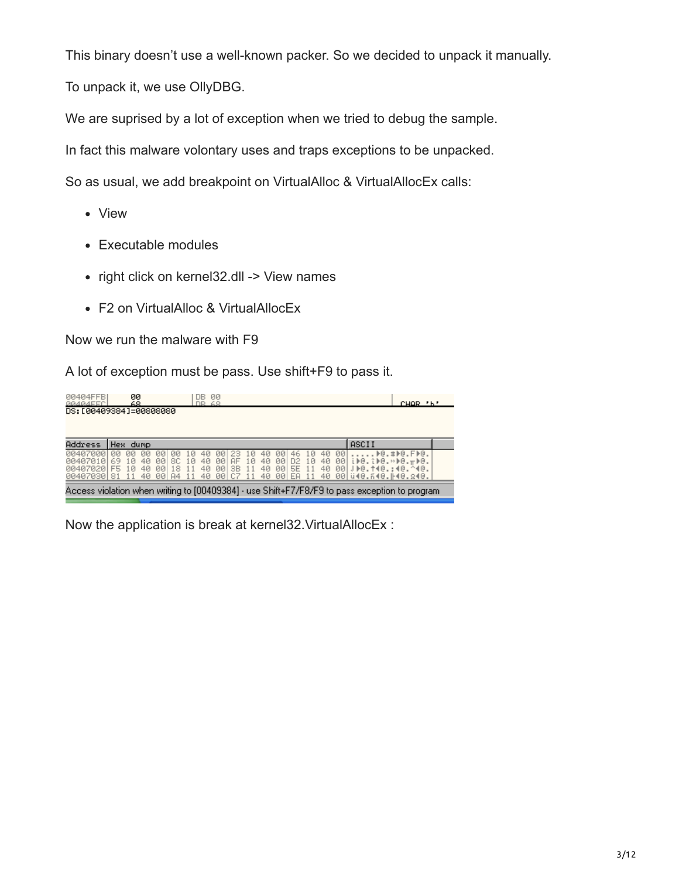This binary doesn't use a well-known packer. So we decided to unpack it manually.

To unpack it, we use OllyDBG.

We are suprised by a lot of exception when we tried to debug the sample.

In fact this malware volontary uses and traps exceptions to be unpacked.

So as usual, we add breakpoint on VirtualAlloc & VirtualAllocEx calls:

- View
- Executable modules
- right click on kernel32.dll -> View names
- F2 on VirtualAlloc & VirtualAllocEx

Now we run the malware with F9

A lot of exception must be pass. Use shift+F9 to pass it.

| <b>00404FFB</b><br>00404FFC | 00<br>68.               | TB.                                     | 00<br>68                            |                                                              | CHOR 'b'                                                                                       |  |
|-----------------------------|-------------------------|-----------------------------------------|-------------------------------------|--------------------------------------------------------------|------------------------------------------------------------------------------------------------|--|
|                             | DS: [00409384]=00808080 |                                         |                                     |                                                              |                                                                                                |  |
|                             |                         |                                         |                                     |                                                              |                                                                                                |  |
| Address                     | Hex dump                |                                         |                                     |                                                              | <b>ASCII</b>                                                                                   |  |
| 1070001                     | ЙЙ<br>ЙЙ<br>ЙЙ          | ЙЙ<br>ии<br>1 И                         | .0                                  | 00<br>40.<br>46.<br>-10                                      | ⊫@.#⊫@.F⊫@.                                                                                    |  |
| 4070101<br>88487828LF5      | lØ<br>40<br>40<br>10    | 8C.<br>00<br>40<br>10<br>40<br>00<br>18 | 10<br>40<br>00<br>AF<br>00 SB<br>11 | 10<br>-901<br>-001<br>D <sub>2</sub><br>40<br>40 00<br>5E 11 | i▶@.î▶@.»▶@.ㅠ▶@.<br>40 00 JDG. 140.: 40. ^40.                                                  |  |
| 00407030 81                 | 40                      | 00 A4<br>11                             | 40 00 C7<br>-11                     | 40 00 EA<br>11                                               |                                                                                                |  |
|                             |                         |                                         |                                     |                                                              | Access violation when writing to [00409384] - use Shift+F7/F8/F9 to pass exception to program. |  |

Now the application is break at kernel32.VirtualAllocEx :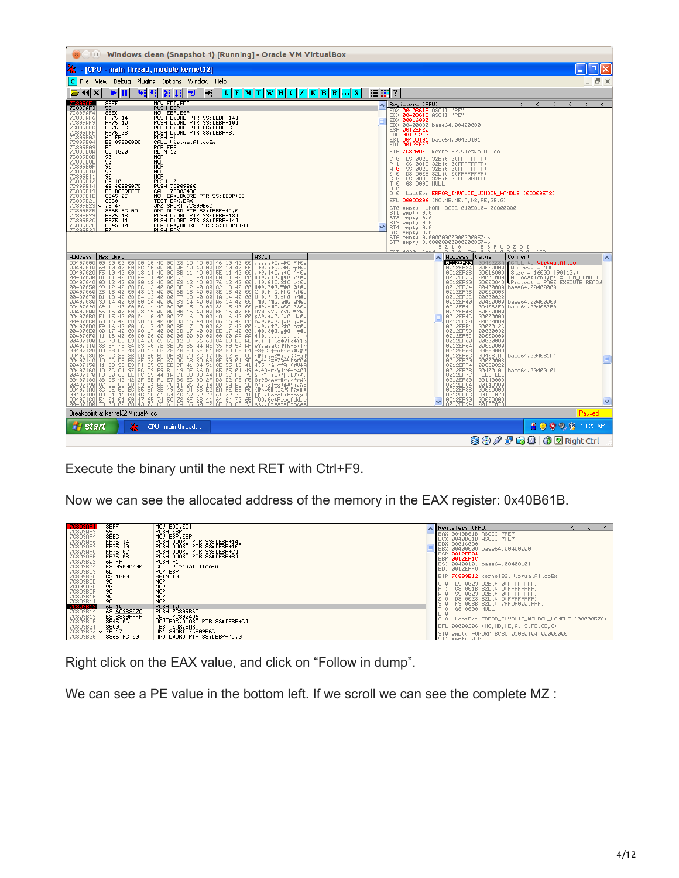| Windows clean (Snapshot 1) [Running] - Oracle VM VirtualBox<br>$\Box$                                                                                                                                                                                                                                                                                                                                                                                                                                                                                                                                                                                                                                                                                                                                                                                                                                                                                                                                                                                                                                                                                                                                                                                                                                                                                                                                                                                                                                                                                                                                                |                                                                                                                                                                                                                                                                                                                                                                                                                                                                                                                                                                                                                                                                                                                                                                                                                                                                                                                                                                                                                                    |
|----------------------------------------------------------------------------------------------------------------------------------------------------------------------------------------------------------------------------------------------------------------------------------------------------------------------------------------------------------------------------------------------------------------------------------------------------------------------------------------------------------------------------------------------------------------------------------------------------------------------------------------------------------------------------------------------------------------------------------------------------------------------------------------------------------------------------------------------------------------------------------------------------------------------------------------------------------------------------------------------------------------------------------------------------------------------------------------------------------------------------------------------------------------------------------------------------------------------------------------------------------------------------------------------------------------------------------------------------------------------------------------------------------------------------------------------------------------------------------------------------------------------------------------------------------------------------------------------------------------------|------------------------------------------------------------------------------------------------------------------------------------------------------------------------------------------------------------------------------------------------------------------------------------------------------------------------------------------------------------------------------------------------------------------------------------------------------------------------------------------------------------------------------------------------------------------------------------------------------------------------------------------------------------------------------------------------------------------------------------------------------------------------------------------------------------------------------------------------------------------------------------------------------------------------------------------------------------------------------------------------------------------------------------|
| [CPU - main thread, module kernel32]                                                                                                                                                                                                                                                                                                                                                                                                                                                                                                                                                                                                                                                                                                                                                                                                                                                                                                                                                                                                                                                                                                                                                                                                                                                                                                                                                                                                                                                                                                                                                                                 | a                                                                                                                                                                                                                                                                                                                                                                                                                                                                                                                                                                                                                                                                                                                                                                                                                                                                                                                                                                                                                                  |
| $ C $ File<br>View<br>Debug Plugins Options Window Help                                                                                                                                                                                                                                                                                                                                                                                                                                                                                                                                                                                                                                                                                                                                                                                                                                                                                                                                                                                                                                                                                                                                                                                                                                                                                                                                                                                                                                                                                                                                                              | - <i>큰</i> ×                                                                                                                                                                                                                                                                                                                                                                                                                                                                                                                                                                                                                                                                                                                                                                                                                                                                                                                                                                                                                       |
| $\boxed{\text{L}} \boxed{\text{E}} \boxed{\text{M}} \boxed{\text{T}} \boxed{\text{W}} \boxed{\text{H}} \boxed{\text{C}} \boxed{\text{I}} \boxed{\text{K}} \boxed{\text{B}} \boxed{\text{R}}$<br>₩<br>ш<br>ا⊧≁<br>$\blacktriangleleft$<br>ᅰ<br>  S<br>$\boldsymbol{\mathsf{x}}$<br>ш<br>₽                                                                                                                                                                                                                                                                                                                                                                                                                                                                                                                                                                                                                                                                                                                                                                                                                                                                                                                                                                                                                                                                                                                                                                                                                                                                                                                             | 1911 ?                                                                                                                                                                                                                                                                                                                                                                                                                                                                                                                                                                                                                                                                                                                                                                                                                                                                                                                                                                                                                             |
| 8BFF<br>MOV EDI.EDI<br>7C809AF3<br><b>PUSH EBP</b><br>55<br>8BEC<br>MOU EBP.ESP<br>C809AF4<br>7C809AF6<br>FF75<br>PUSH DWORD PTR SS:[EBP+14]<br>PUSH DWORD PTR SS:[EBP+10]<br>PUSH DWORD PTR SS:[EBP+C]<br>14<br>FF75 10<br>7C809AF9<br>7C809AFC<br>FF75 0C<br>FF75 08<br>7C809AFF<br>PUSH DWORD PTR SS: [EBP+8]<br>7C809B02<br>6A FF<br>$PUSH -1$<br>7C809B04<br>ES 09000000<br>5D<br>CALL VirtualAllocEx<br>POP EBP<br>7C809B09<br>C2<br>90<br>90<br>7C809B0A<br>1000<br>RETN 10<br>7C809B0D<br><b>NOP</b><br><b>NOP</b><br>7C809B0E<br>7C809B0F<br>9Ō<br>NOP<br>7C809B10<br>90<br><b>NOP</b><br><b>NOP</b><br>7C809B11<br>90<br>7C809B12<br>6A<br>PUSH 10<br>10<br>7C809B14<br>68 609B807C<br>E8 B889FFFF<br>PUSH 7C809B60<br>7C809B19<br>CALL 7C8024D6<br>7C809B1E<br>8B45 0C<br>MOV EAX, DWORD PTR SS: [EBP+C]<br>7C809B21<br><b>85C0</b><br>TEST EAX, EAX<br>7C809B23<br>75 47<br>SHORT 7C809B6C<br>JNZ<br>7C809B25<br>AND DWORD PTR SS: [EBP-4],0<br>8365 FC 00<br>FF75 18<br>FF75 14<br>7C809B29<br>PUSH DWORD PTR SS: LEBP+181<br>PUSH DWORD PTR SS: LEBP+141<br>7C809B2C<br>7C809B2F<br>8D45 10<br>LEA EAX, DWORD PTR SS: [EBP+10]<br>ZC809B3;<br>5Й<br>PUSH FAX                                                                                                                                                                                                                                                                                                                                                                                                                                           | $\leftarrow$ $\leftarrow$ $\leftarrow$ $\leftarrow$ $\leftarrow$<br>Registers (FPU)<br>$\langle$<br>$\langle$<br>^<br>0040B61B ASCII "PE"<br>FAX<br>0040B61B ASCII "PE"<br>EDX 00016000<br><b>EBX</b><br>00400000 base64.00400000<br>ESP.<br>0012EF20<br>EBP<br>0012F2F0<br>ESI.<br>00400101 base64.00400101<br>EDI.<br>0012EFF0<br>EIP 7C809AF1 kernel32. VirtualAlloc<br>C 0<br>0023<br>ES.<br>32bit 0(FFFFFFFFF<br>32bit 0(FFFFFFFFF<br>CS.<br>001B<br>$A$ $B$<br>SS.<br>32bit 0(FFFFFFFFF<br>0023<br>ø<br>DS 0023<br>32bit 0(FFFFFFFFF)<br>$\frac{5}{1}$ $\frac{8}{8}$<br>FS 003B 32bit 7FFDE000(FFF)<br><b>GS 0000 NULL</b><br>D Ø<br>00<br>LastErr ERROR_INVALID_WINDOW_HANDLE (00000578)<br>EFL.<br>00000206 (NO, NB, NE, A, NS, PE, GE, G)<br>empty -UNORM BCBC 01050104 00000000<br>STØ.<br>empty 0.0<br>ST <sub>1</sub><br>ST <sub>2</sub><br>empty 0.0<br>ST3 empty 0.0<br>ST4 empty 0.0<br>ST5<br>empty 0.0                                                                                                            |
|                                                                                                                                                                                                                                                                                                                                                                                                                                                                                                                                                                                                                                                                                                                                                                                                                                                                                                                                                                                                                                                                                                                                                                                                                                                                                                                                                                                                                                                                                                                                                                                                                      | ST6 empty 0.0000000000000005746<br>ST7 empty 0.0000000000000005746<br>21<br>ESPUOZDI<br>з.<br>ø<br>4828                                                                                                                                                                                                                                                                                                                                                                                                                                                                                                                                                                                                                                                                                                                                                                                                                                                                                                                            |
| ASCII<br>Address<br>Hex dump<br>00<br>40<br>00407000<br>00<br>46<br>10<br>▶@.#▶@.F▶@<br><b>DD</b><br>$\frac{88}{98}$ $\frac{12}{5E}$<br>10<br>40 00<br>00407010<br>$^{69}_{F5}$<br>i⊫@.î⊫@.»⊫@. <del>.</del> ⊫⊫@.<br>004070201<br>11<br>40 00<br>J⊮@.↑4@.:4@.^4@.<br>00407030<br>00 EA<br>40 00<br>81<br>11<br>ü4@.ñ4@.⊩4@.Ω4@.<br><b>ØD</b><br>$\begin{array}{r} \hat{1}\hat{2} \\ 1\hat{3} \\ 1\hat{3} \end{array}$<br>40<br>00<br>00407040<br>. \$0.0\$0. S\$0. v\$0.<br>00407050 99<br>00407060 25<br>00407070 81<br>40<br>00<br>40<br>00<br>280.H80.k80.A80<br>14 40<br>00<br>※10. 510. 210. +90<br>14 40<br>00<br>00407080 3D<br>=90.'90.a90.a90<br>Č9<br>$\frac{15}{15}$<br>00407090<br>40<br>00<br>F90. «90. *30. 230<br>004070A01<br>$\frac{55}{E1}$<br>40<br>00<br>US@.xS@.¢S@.=S@.<br>004070B0<br>40<br>001<br>16<br>pse.+_e.'_e.J_e.<br>16<br>00407000<br>6D<br>40<br>00<br>$m = 0.5 - 0.1 - 0.7 - 0$<br>F <sub>9</sub><br>17<br>$\frac{40}{40}$<br>00<br>-_@.∟≱@.?≱@.b≱@.<br>004070D0 <br>004070E0 <br>00<br>17<br>00<br>. 좋回. 신솔回. 규솔回. ∈솔回.<br>00000<br>004070F0<br>11<br>18<br>00<br><b>AR</b><br><b>AR</b><br>410<br>70<br>3F<br>00407100<br>$\frac{66}{88}$<br>00407110<br>00407120 AA<br>BC <sub>00</sub><br>00407130 BF<br>00407140 1A<br>$\frac{28}{26}$<br>35 B3<br>C1 97<br>68 B5<br>00407150 11<br>00407160 <br>1A<br>FC<br>FЗ<br>00407170<br>2F<br>ĐŜ<br>40<br>42<br>00407180<br>38<br>87<br>38<br>00407190<br>$_{\rm CE}^{\rm SE}$<br>$\frac{89}{50}$<br>$_{EC}^{88}$<br>ŝс<br>004071A0<br>004071B0 DD E1 46 00 4C 6F 61<br>004071C0 54 01 01 00 47 65 74<br>004071D0 73 73 00 00 43 72 65 | <b>Address</b><br>Value<br>Comment<br>ㅅ<br>۸<br>0012EF20<br>CALL to <b>VirtualAlloc</b><br>Address = NULL<br>Size = 16000 (90112.)<br>00000000<br>0012EF2<br>0012EF28<br>00016000<br>AllocationType = MEM_COMMIT<br>Protect = PAGE_EXECUTE_READW<br>0012EF20<br>00001000<br>0012EF30<br>00000040<br>0012EF34<br>00400000 base64.00400000<br>0012EF38<br>00000003<br>0012EF30<br>00000022<br>0012EF40<br>00400000 base64.00400000<br>0012EF44<br>004082F0 base64.004082F0<br>0012EF48<br>0012EF4C<br>50000000<br>00000000<br>0012EF50<br>00000000<br>0012EF54<br>0012EF58<br>00000120<br>00000032<br>0012EF50<br>00000000<br>0012EF60<br>00000000<br>0012EF64<br>00000000<br>0012EF68<br>00000000<br>0012EF60<br>004081A4<br>base64.004081A4<br>0012EF70<br>00000003<br>0012EF74<br>0000002<br>0012EF78<br>00400101<br>base64.00400101<br>0012EF70<br>FEEEFEEE<br>0012EF80<br>00140000<br>0012EF84<br>00148300<br>0012EF88<br>00000000<br>0012EF80<br>0012F078<br>0012EF90<br>0012EF94<br>00000000<br>0012F078<br>$\checkmark$<br>v |
| Breakpoint at kernel32. VirtualAlloc                                                                                                                                                                                                                                                                                                                                                                                                                                                                                                                                                                                                                                                                                                                                                                                                                                                                                                                                                                                                                                                                                                                                                                                                                                                                                                                                                                                                                                                                                                                                                                                 | Paused<br>8000 \$ 10:22 AM                                                                                                                                                                                                                                                                                                                                                                                                                                                                                                                                                                                                                                                                                                                                                                                                                                                                                                                                                                                                         |
| E - [CPU - main thread<br><b>F</b> start                                                                                                                                                                                                                                                                                                                                                                                                                                                                                                                                                                                                                                                                                                                                                                                                                                                                                                                                                                                                                                                                                                                                                                                                                                                                                                                                                                                                                                                                                                                                                                             | <b>9000000 BRight Ctrl</b>                                                                                                                                                                                                                                                                                                                                                                                                                                                                                                                                                                                                                                                                                                                                                                                                                                                                                                                                                                                                         |
|                                                                                                                                                                                                                                                                                                                                                                                                                                                                                                                                                                                                                                                                                                                                                                                                                                                                                                                                                                                                                                                                                                                                                                                                                                                                                                                                                                                                                                                                                                                                                                                                                      |                                                                                                                                                                                                                                                                                                                                                                                                                                                                                                                                                                                                                                                                                                                                                                                                                                                                                                                                                                                                                                    |

Execute the binary until the next RET with Ctrl+F9.



Right click on the EAX value, and click on "Follow in dump".

We can see a PE value in the bottom left. If we scroll we can see the complete MZ :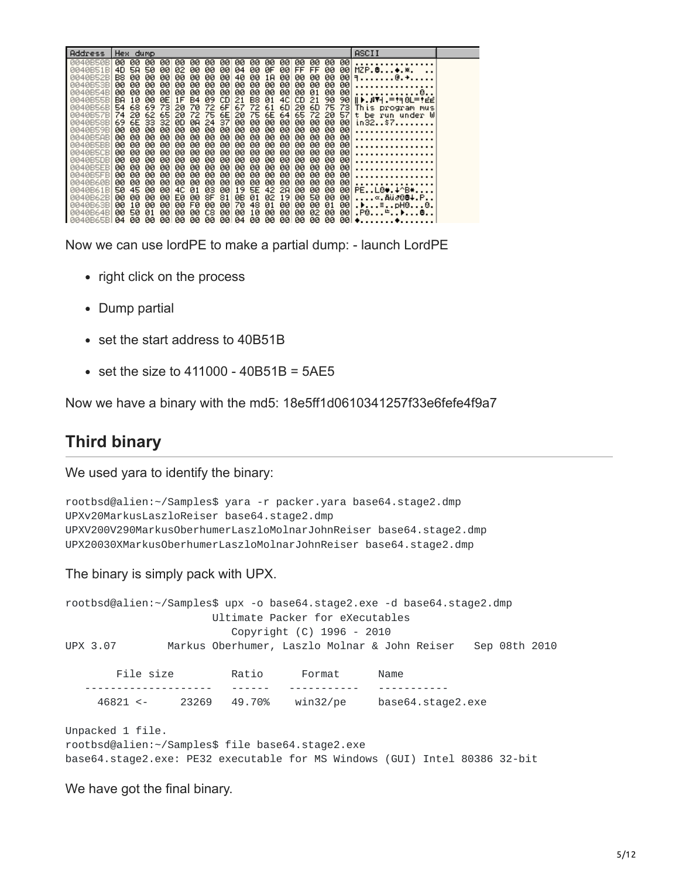| Address              | Hex dump                           |                        |                      |                      |                       |                        |          |           |            | ASCII                   |  |
|----------------------|------------------------------------|------------------------|----------------------|----------------------|-----------------------|------------------------|----------|-----------|------------|-------------------------|--|
| 0040B50B<br>0040B51B | 00.<br>00<br>00<br>4D<br>50<br>58. | 00.<br>00<br>øø<br>02. | 00<br>00<br>øø<br>00 | 00<br>00<br>øø<br>04 | 00<br>00<br>øø<br>ØF  | 00.<br>00<br>-00<br>FF | 00<br>FF | -00<br>øø | 00<br>-001 | $MZP.B*,$               |  |
| 0040B52B             | B8<br>00.<br>øø                    | øø<br>00               | øø<br>00             | 40<br>øø             | øø<br>1A              | 00<br>øø               | øø       | 00        | 901        | 9@. +                   |  |
| 0040B53B             | øø<br>00.<br>00                    | øø<br>00.              | øø<br>00             | 00<br>00             | 00<br>00              | 00<br>00               | 00       | 00        | 00         |                         |  |
| 0040B54B             | øø<br>øø<br>00.                    | øø<br>00.              | øø<br>øø             | 00<br>øø             | 00<br>00              | 00<br>00.              | 01       | 00        | 00         |                         |  |
| 0040B55B             | BA<br>10<br>øø                     | ØE<br>1F               | 09<br><b>B4</b>      | CD.<br>21            | B8<br>01              | 4C<br>CD.              | 21       | 90        |            | 90    D. 874 .=!40L=!EE |  |
| 0040B56BI            | 54<br>68<br>69                     | 73<br>20               | 70<br>72             | 67<br>6F             | 72<br>61              | 6D<br>20               | 6D       | 75        |            | 73 This program mus     |  |
| 0040B57B             | 62<br>74<br>20.                    | 65<br>20               | 72<br>75             | 6E<br>20             | 75<br>6E              | 64<br>65               | 72       | 20        | 57         | t be run under W        |  |
| 0040B58B<br>0040B59B | 6E<br>69<br>33<br>øø<br>øø<br>00.  | 32<br>ØD.<br>øø<br>00. | 24<br>ØA<br>øø<br>øø | 00<br>37<br>øø<br>00 | 00<br>00<br>00<br>00. | 00<br>00<br>00<br>00   | 00<br>00 | 00<br>-00 | -001<br>00 | in32\$7                 |  |
| 0040B5AB             | øø<br>øø<br>00.                    | øø<br>00.              | øø<br>00             | øø<br>00             | øø<br>00              | øø<br>00               | 00       | -00       | 00         |                         |  |
| 0040B5BB             | øø<br>øø<br>øø                     | øø<br>øø               | øø<br>00             | øø<br>00             | øø<br>00              | øø<br>00               | 00       | 00        | 00         |                         |  |
| 0040B5CB             | øø<br>øø<br>00                     | øø<br>00               | 00<br>00             | øø<br>øø             | øø<br>00              | øø<br>øø               | øø       | -00       | 00         |                         |  |
| 0040B5DB             | øø<br>øø<br>00                     | øø<br>00.              | 00<br>øø             | 00<br>øø             | øø<br>00              | 00<br>øø               | 00       | 00        | 00         |                         |  |
| 0040B5EB             | øø<br>øø<br>00                     | 00<br>00               | øø<br>øø             | øø<br>øø             | øø<br>00              | øø<br>00               | øø       | 00        | 00         |                         |  |
| 0040B5FB             | øø<br>øø<br>00.                    | øø<br>00               | øø<br>øø             | 00<br>øø             | øø<br>00              | øø<br>øø               | øø       | øø        | 00         |                         |  |
| 0040B60B<br>0040B61B | 00<br>00<br>00<br>50<br>45<br>00   | 00<br>00.<br>øø<br>4C  | 00<br>00<br>ØЗ<br>01 | 00<br>00<br>19<br>øø | øø<br>00<br>5E<br>42  | 00<br>00<br>øø<br>2A   | øø<br>00 | 00<br>00  | 00<br>00   | PEL0♥.↓^B*              |  |
| 0040B62B             | øø<br>øø<br>00                     | øø<br>E0.              | 8F<br>øø             | ØΒ<br>81             | 02<br>01              | 19<br>00               | 50       | 00        | 00         | ∝.Aü∂88∔.P              |  |
| 0040B63B             | 00<br>10<br>00                     | 00<br>00.              | øø<br>FØ             | 70<br>00             | 48<br>01              | 00<br>øø               | 00       | 01        | 001        | .▶≣pH00.                |  |
| 0040B64B             | øø<br>50<br>01                     | øø<br>00.              | C8<br>øø             | øø<br>øø             | 10<br>øø              | øø<br>øø               | 02       | 00        | -001       | $. P@. + >. . @. .$     |  |
| 0040B65B104          | 00.<br>-00                         | -00<br>-00             | 00.<br>00.           | 00 04                | 00.<br>-00            | -001<br>00             | 00       | 00        |            | 00                      |  |

Now we can use lordPE to make a partial dump: - launch LordPE

- right click on the process
- Dump partial
- set the start address to 40B51B
- $\bullet$  set the size to 411000 40B51B = 5AE5

Now we have a binary with the md5: 18e5ff1d0610341257f33e6fefe4f9a7

### **Third binary**

We used yara to identify the binary:

```
rootbsd@alien:~/Samples$ yara -r packer.yara base64.stage2.dmp
UPXv20MarkusLaszloReiser base64.stage2.dmp
UPXV200V290MarkusOberhumerLaszloMolnarJohnReiser base64.stage2.dmp
UPX20030XMarkusOberhumerLaszloMolnarJohnReiser base64.stage2.dmp
```
The binary is simply pack with UPX.

rootbsd@alien:~/Samples\$ upx -o base64.stage2.exe -d base64.stage2.dmp Ultimate Packer for eXecutables Copyright (C) 1996 - 2010 UPX 3.07 Markus Oberhumer, Laszlo Molnar & John Reiser Sep 08th 2010 File size Ratio Format Name -------------------- ------ ----------- ----------- 46821 <- 23269 49.70% win32/pe base64.stage2.exe

Unpacked 1 file. rootbsd@alien:~/Samples\$ file base64.stage2.exe base64.stage2.exe: PE32 executable for MS Windows (GUI) Intel 80386 32-bit

We have got the final binary.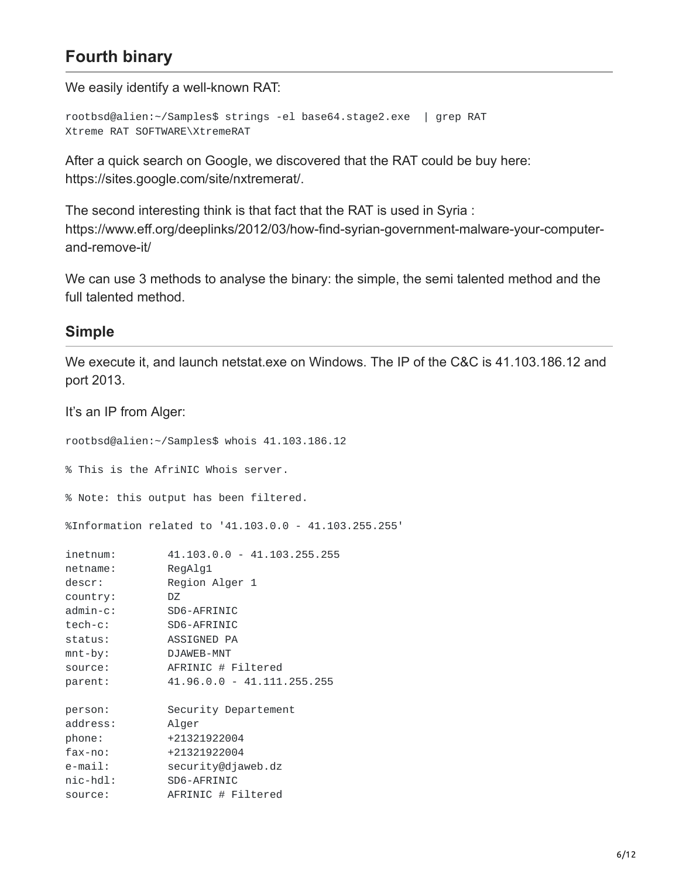# **Fourth binary**

We easily identify a well-known RAT:

```
rootbsd@alien:~/Samples$ strings -el base64.stage2.exe | grep RAT
Xtreme RAT SOFTWARE\XtremeRAT
```
After a quick search on Google, we discovered that the RAT could be buy here: https://sites.google.com/site/nxtremerat/.

The second interesting think is that fact that the RAT is used in Syria : https://www.eff.org/deeplinks/2012/03/how-find-syrian-government-malware-your-computerand-remove-it/

We can use 3 methods to analyse the binary: the simple, the semi talented method and the full talented method.

#### **Simple**

We execute it, and launch netstat.exe on Windows. The IP of the C&C is 41.103.186.12 and port 2013.

It's an IP from Alger: rootbsd@alien:~/Samples\$ whois 41.103.186.12 % This is the AfriNIC Whois server. % Note: this output has been filtered. %Information related to '41.103.0.0 - 41.103.255.255' inetnum: 41.103.0.0 - 41.103.255.255 netname: RegAlg1 descr: Region Alger 1 country: DZ admin-c: SD6-AFRINIC tech-c: SD6-AFRINIC status: ASSIGNED PA mnt-by: DJAWEB-MNT source: AFRINIC # Filtered parent: 41.96.0.0 - 41.111.255.255 person: Security Departement address: Alger phone: +21321922004 fax-no: +21321922004 e-mail: security@djaweb.dz nic-hdl: SD6-AFRINIC source: AFRINIC # Filtered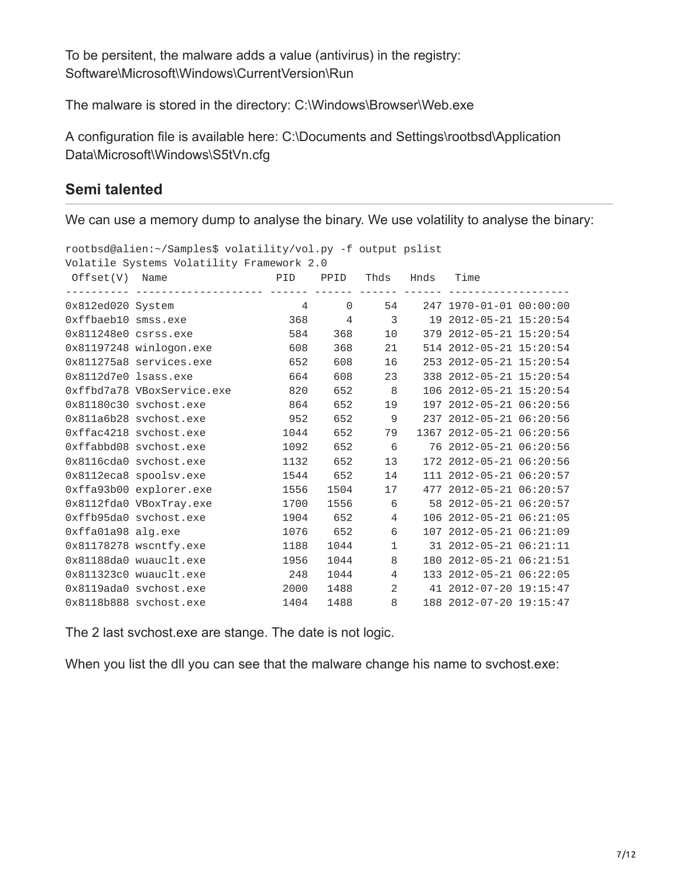To be persitent, the malware adds a value (antivirus) in the registry: Software\Microsoft\Windows\CurrentVersion\Run

The malware is stored in the directory: C:\Windows\Browser\Web.exe

A configuration file is available here: C:\Documents and Settings\rootbsd\Application Data\Microsoft\Windows\S5tVn.cfg

#### **Semi talented**

We can use a memory dump to analyse the binary. We use volatility to analyse the binary:

|                      | rootbsd@alien:~/Samples\$ volatility/vol.py -f output pslist |                      |                |                |                                 |                          |  |
|----------------------|--------------------------------------------------------------|----------------------|----------------|----------------|---------------------------------|--------------------------|--|
|                      | Volatile Systems Volatility Framework 2.0                    |                      |                |                |                                 |                          |  |
| $Offset(V)$ Name     |                                                              | <b>PID</b> PPID Thds |                |                | Hnds                            | Time                     |  |
|                      |                                                              |                      |                |                | <u> - - - - - - - - - - - -</u> |                          |  |
| 0x812ed020 System    |                                                              | $\overline{4}$       | $\Theta$       |                | 54                              | 247 1970-01-01 00:00:00  |  |
| Oxffbaeb10 smss.exe  |                                                              | 368                  | $\overline{4}$ | 3              |                                 | 19 2012-05-21 15:20:54   |  |
| 0x811248e0 csrss.exe |                                                              | 584                  | 368            |                | 10                              | 379 2012-05-21 15:20:54  |  |
|                      | 0x81197248 winlogon.exe                                      | 608                  | 368            | 21             |                                 | 514 2012-05-21 15:20:54  |  |
|                      | 0x811275a8 services.exe                                      | 652                  | 608            | 16             |                                 | 253 2012-05-21 15:20:54  |  |
| 0x8112d7e0 lsass.exe |                                                              | 664                  | 608            | 23             |                                 | 338 2012-05-21 15:20:54  |  |
|                      | Oxffbd7a78 VBoxService.exe                                   | 820                  | 652            | 8              |                                 | 106 2012-05-21 15:20:54  |  |
|                      | 0x81180c30 svchost.exe                                       | 864                  | 652            | 19             |                                 | 197 2012-05-21 06:20:56  |  |
|                      | 0x811a6b28 svchost.exe                                       | 952                  | 652            | 9              |                                 | 237 2012-05-21 06:20:56  |  |
|                      | Oxffac4218 svchost.exe                                       | 1044                 | 652            | 79             |                                 | 1367 2012-05-21 06:20:56 |  |
|                      | Oxffabbd08 svchost.exe                                       | 1092                 | 652            | 6              |                                 | 76 2012-05-21 06:20:56   |  |
|                      | 0x8116cda0 svchost.exe                                       | 1132                 | 652            | 13             |                                 | 172 2012-05-21 06:20:56  |  |
|                      | 0x8112eca8 spoolsv.exe                                       | 1544                 | 652            | 14             |                                 | 111 2012-05-21 06:20:57  |  |
|                      | 0xffa93b00 explorer.exe                                      | 1556                 | 1504           | 17             |                                 | 477 2012-05-21 06:20:57  |  |
|                      | 0x8112fda0 VBoxTray.exe                                      | 1700                 | 1556           | 6              |                                 | 58 2012-05-21 06:20:57   |  |
|                      | 0xffb95da0 svchost.exe                                       | 1904                 | 652            | $\overline{4}$ |                                 | 106 2012-05-21 06:21:05  |  |
| 0xffa01a98 alg.exe   |                                                              | 1076                 | 652            | 6              |                                 | 107 2012-05-21 06:21:09  |  |
|                      | 0x81178278 wscntfy.exe                                       | 1188                 | 1044           | $\mathbf{1}$   |                                 | 31 2012-05-21 06:21:11   |  |
|                      | 0x81188da0 wuauclt.exe                                       | 1956                 | 1044           | 8              |                                 | 180 2012-05-21 06:21:51  |  |
|                      | 0x811323c0 wuauclt.exe                                       | 248                  | 1044           | $\overline{4}$ |                                 | 133 2012-05-21 06:22:05  |  |
|                      | 0x8119ada0 svchost.exe                                       | 2000                 | 1488           | 2              |                                 | 41 2012-07-20 19:15:47   |  |
|                      | 0x8118b888 svchost.exe                                       | 1404                 | 1488           | 8              |                                 | 188 2012-07-20 19:15:47  |  |

The 2 last svchost.exe are stange. The date is not logic.

When you list the dll you can see that the malware change his name to svchost.exe: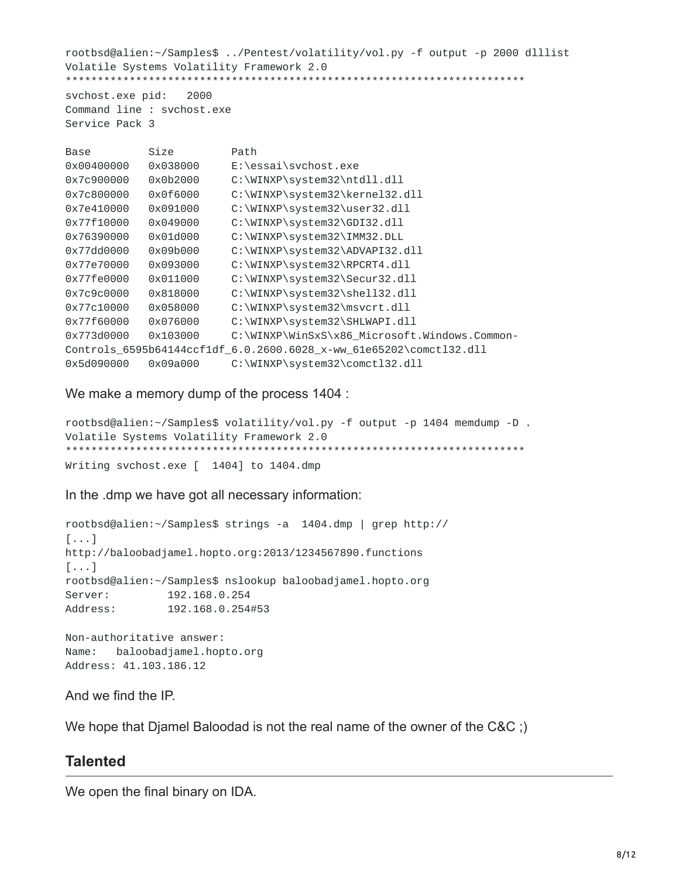rootbsd@alien:~/Samples\$ ../Pentest/volatility/vol.py -f output -p 2000 dlllist Volatile Systems Volatility Framework 2.0 \*\*\*\*\*\*\*\*\*\*\*\*\*\*\*\*\*\*\*\*\*\*\*\*\*\*\*\*\*\*\*\*\*\*\*\*\*\*\*\*\*\*\*\*\*\*\*\*\*\*\*\*\*\*\*\*\*\*\*\*\*\*\*\*\*\*\*\*\*\*\*\* svchost.exe pid: 2000 Command line : svchost.exe Service Pack 3 Base Size Path

```
0x00400000 0x038000 E:\essai\svchost.exe
0x7c900000 0x0b2000 C:\WINXP\system32\ntdll.dll
0x7c800000 0x0f6000 C:\WINXP\system32\kernel32.dll
0x7e410000 0x091000 C:\WINXP\system32\user32.dll
0x77f10000 0x049000 C:\WINXP\system32\GDI32.dll
0x76390000 0x01d000 C:\WINXP\system32\IMM32.DLL
0x77dd0000 0x09b000 C:\WINXP\system32\ADVAPI32.dll
0x77e70000 0x093000 C:\WINXP\system32\RPCRT4.dll
0x77fe0000 0x011000 C:\WINXP\system32\Secur32.dll
0x7c9c0000 0x818000 C:\WINXP\system32\shell32.dll
0x77c10000 0x058000 C:\WINXP\system32\msvcrt.dll
0x77f60000 0x076000 C:\WINXP\system32\SHLWAPI.dll
0x773d0000 0x103000 C:\WINXP\WinSxS\x86_Microsoft.Windows.Common-
Controls_6595b64144ccf1df_6.0.2600.6028_x-ww_61e65202\comctl32.dll
0x5d090000 0x09a000 C:\WINXP\system32\comctl32.dll
```
We make a memory dump of the process 1404 :

```
rootbsd@alien:~/Samples$ volatility/vol.py -f output -p 1404 memdump -D .
Volatile Systems Volatility Framework 2.0
                                            *******************************
Writing svchost.exe [ 1404] to 1404.dmp
```
In the .dmp we have got all necessary information:

rootbsd@alien:~/Samples\$ strings -a 1404.dmp | grep http:// [...] http://baloobadjamel.hopto.org:2013/1234567890.functions [...] rootbsd@alien:~/Samples\$ nslookup baloobadjamel.hopto.org Server: 192.168.0.254 Address: 192.168.0.254#53

Non-authoritative answer: Name: baloobadjamel.hopto.org Address: 41.103.186.12

And we find the IP.

We hope that Djamel Baloodad is not the real name of the owner of the C&C ;)

#### **Talented**

We open the final binary on IDA.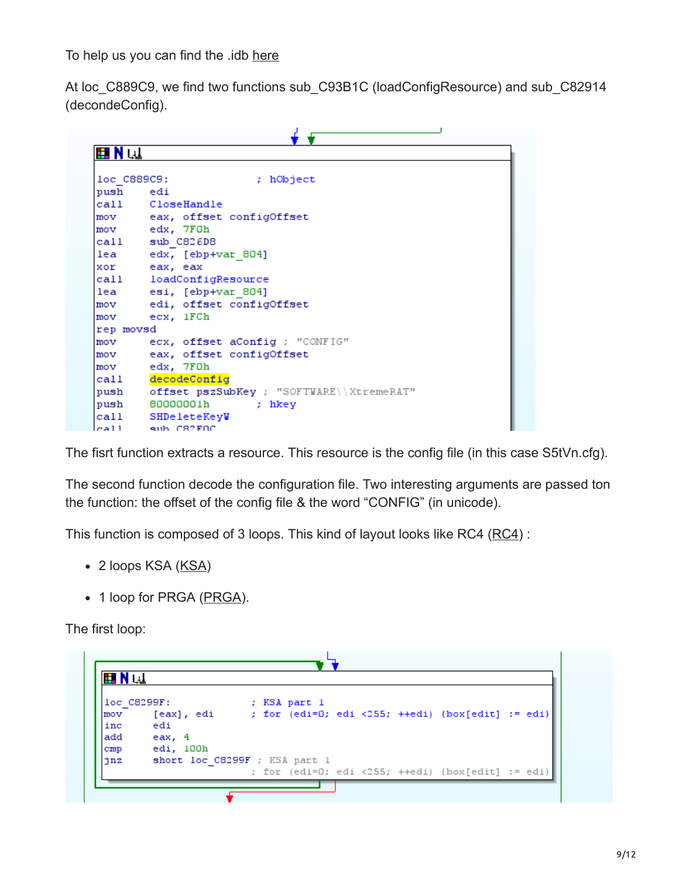To help us you can find the .idb [here](https://malware.lu/assets/files/articles/0010-xtreme_rat/idb/xtreme.idb)

At loc\_C889C9, we find two functions sub\_C93B1C (loadConfigResource) and sub\_C82914 (decondeConfig).

| ■N⊌         |                                          |
|-------------|------------------------------------------|
|             |                                          |
| loc C889C9: | ; hObject                                |
| push        | edi                                      |
|             | call CloseHandle                         |
|             | mov eax, offset configOffset             |
|             | mov edx, 7F0h                            |
|             | call sub C826D8                          |
|             | lea edx, [ebp+var 804]                   |
|             | xor eax, eax                             |
|             | call loadConfigResource                  |
| lea         | esi, [ebp+var 804]                       |
| mov         | edi, offset configOffset                 |
| mov         | ecx, 1FCh                                |
| rep movsd   |                                          |
| mov         | ecx, offset aConfig ; "CONFIG"           |
| mov         | eax, offset configOffset                 |
| mov         | edx, 7FOh                                |
| call        | decodeConfig                             |
| push        | offset pszSubKey ; "SOFTWARE\\XtremeRAT" |
| push        | 80000001h<br>; hkey                      |
| call        | SHDeleteKeyW                             |
| ca11        | sub C82FOC                               |

The fisrt function extracts a resource. This resource is the config file (in this case S5tVn.cfg).

The second function decode the configuration file. Two interesting arguments are passed ton the function: the offset of the config file & the word "CONFIG" (in unicode).

This function is composed of 3 loops. This kind of layout looks like RC4 ([RC4\)](http://en.wikipedia.org/wiki/RC4) :

- 2 loops KSA [\(KSA\)](http://en.wikipedia.org/wiki/RC4#The_key-scheduling_algorithm)
- 1 loop for PRGA ([PRGA\)](http://en.wikipedia.org/wiki/RC4#The_pseudo-random_generation_algorithm).

The first loop:

|               | loc C8299F:                   |  | ; KSA part 1 |  |                                                   |  |
|---------------|-------------------------------|--|--------------|--|---------------------------------------------------|--|
| mov           | [eax], edi                    |  |              |  | ; for (edi=0; edi <255; ++edi) {box[edit] := edi} |  |
| inc           | edi                           |  |              |  |                                                   |  |
| add           | eax, 4                        |  |              |  |                                                   |  |
| $_{\rm{cmp}}$ | edi, 100h                     |  |              |  |                                                   |  |
| jnz           | short loc C8299F ; KSA part 1 |  |              |  |                                                   |  |
|               |                               |  |              |  | ; for (edi=0; edi <255; ++edi) {box[edit] := edi} |  |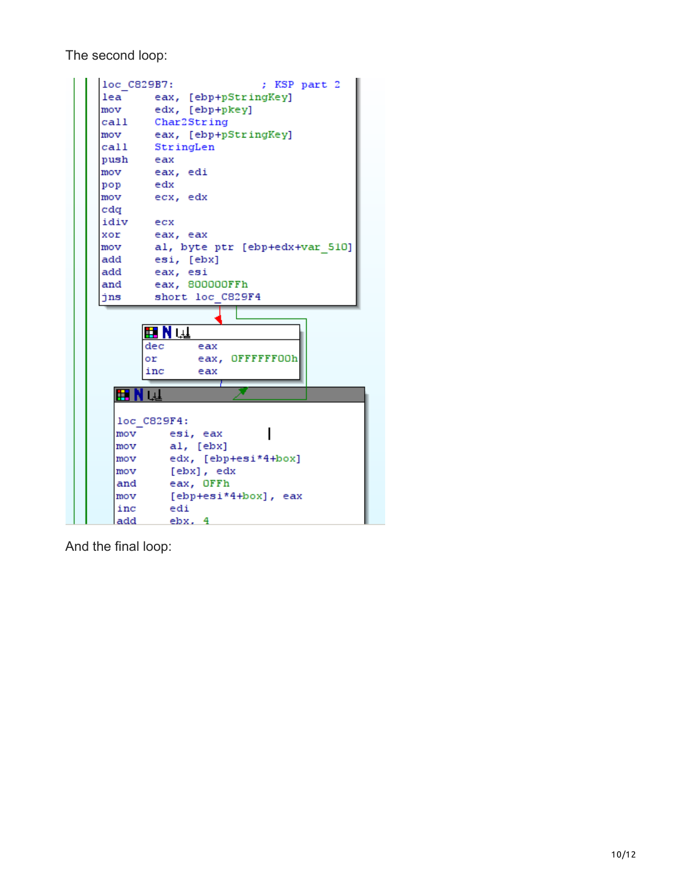The second loop:

| loc C829B7: | ; KSP part 2                   |
|-------------|--------------------------------|
| lea         | eax, [ebp+pStringKey]          |
| mov         | edx, [ebp+pkey]                |
| call        | Char2String                    |
| mov         | eax, [ebp+pStringKey]          |
| call        | StringLen                      |
| push        | eax                            |
| mov         | eax, edi                       |
| pop         | edx                            |
| mov         | ecx, edx                       |
| cdq         |                                |
| idiv ecx    |                                |
| xor         | eax, eax                       |
| mov         | al, byte ptr [ebp+edx+var 510] |
| add         | esi, [ebx]                     |
| add         | eax, esi                       |
| and         | eax, 800000FFh                 |
|             |                                |
| jns         | short loc C829F4               |
|             |                                |
|             |                                |
|             | ⊞Nul                           |
|             | dec<br>eax                     |
|             | eax, OFFFFFF00h<br>or          |
|             | inc<br>eax                     |
| шR          | $\overline{\phantom{0}}$       |
|             |                                |
|             | loc C829F4:                    |
| mov         | esi, eax                       |
| mov         | al, [ebx]                      |
| mov         | edx, [ebp+esi*4+box]           |
| mov         | [ebx], edx                     |
| and         | eax, OFFh                      |
| mov         | [ebp+esi*4+box], eax           |
| inc         | edi                            |

And the final loop: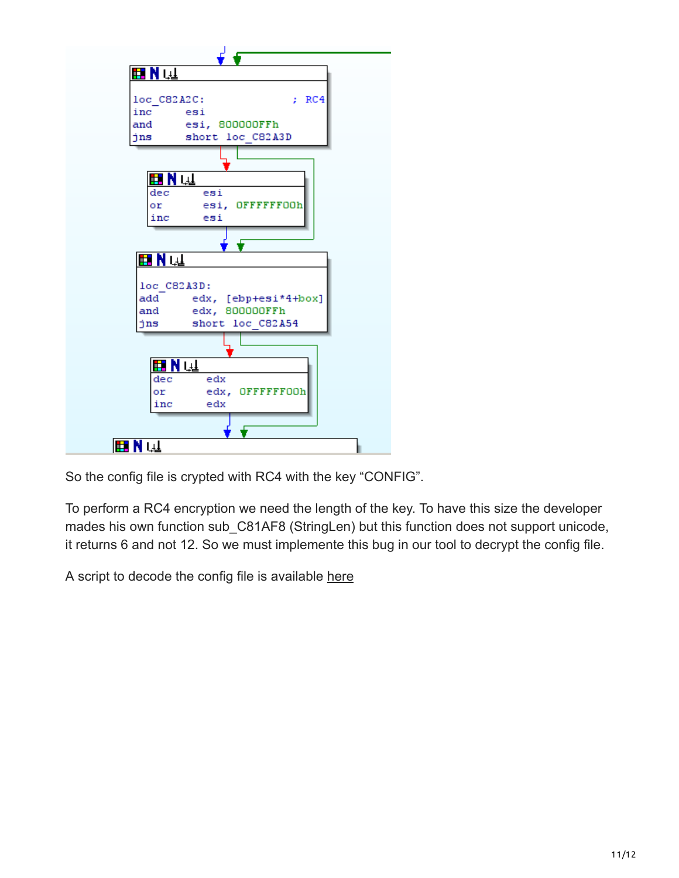

So the config file is crypted with RC4 with the key "CONFIG".

To perform a RC4 encryption we need the length of the key. To have this size the developer mades his own function sub C81AF8 (StringLen) but this function does not support unicode, it returns 6 and not 12. So we must implemente this bug in our tool to decrypt the config file.

A script to decode the config file is available [here](https://malware.lu/assets/files/articles/0010-xtreme_rat/code/xtremerat_config.py)